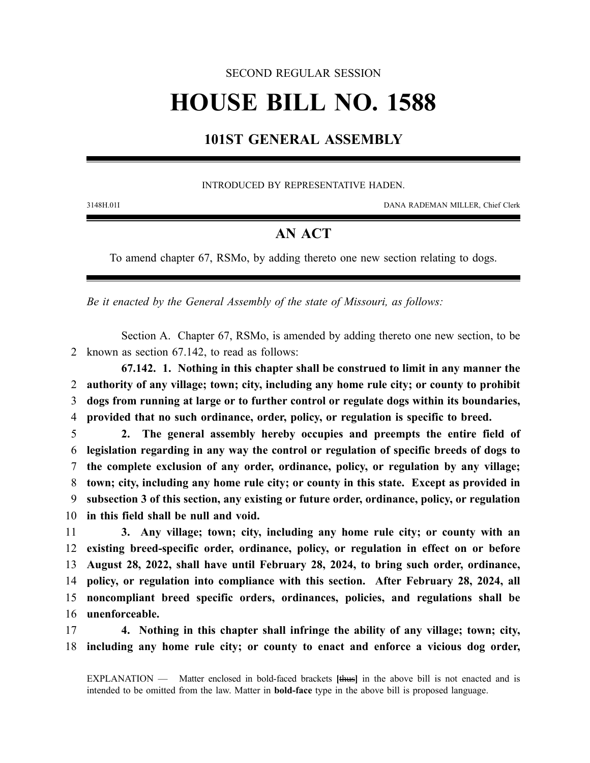#### SECOND REGULAR SESSION

# **HOUSE BILL NO. 1588**

## **101ST GENERAL ASSEMBLY**

#### INTRODUCED BY REPRESENTATIVE HADEN.

3148H.01I DANA RADEMAN MILLER, Chief Clerk

### **AN ACT**

To amend chapter 67, RSMo, by adding thereto one new section relating to dogs.

*Be it enacted by the General Assembly of the state of Missouri, as follows:*

Section A. Chapter 67, RSMo, is amended by adding thereto one new section, to be 2 known as section 67.142, to read as follows:

**67.142. 1. Nothing in this chapter shall be construed to limit in any manner the authority of any village; town; city, including any home rule city; or county to prohibit dogs from running at large or to further control or regulate dogs within its boundaries, provided that no such ordinance, order, policy, or regulation is specific to breed.**

 **2. The general assembly hereby occupies and preempts the entire field of legislation regarding in any way the control or regulation of specific breeds of dogs to the complete exclusion of any order, ordinance, policy, or regulation by any village; town; city, including any home rule city; or county in this state. Except as provided in subsection 3 of this section, any existing or future order, ordinance, policy, or regulation in this field shall be null and void.**

 **3. Any village; town; city, including any home rule city; or county with an existing breed-specific order, ordinance, policy, or regulation in effect on or before August 28, 2022, shall have until February 28, 2024, to bring such order, ordinance, policy, or regulation into compliance with this section. After February 28, 2024, all noncompliant breed specific orders, ordinances, policies, and regulations shall be unenforceable.**

17 **4. Nothing in this chapter shall infringe the ability of any village; town; city,** 18 **including any home rule city; or county to enact and enforce a vicious dog order,**

EXPLANATION — Matter enclosed in bold-faced brackets **[**thus**]** in the above bill is not enacted and is intended to be omitted from the law. Matter in **bold-face** type in the above bill is proposed language.